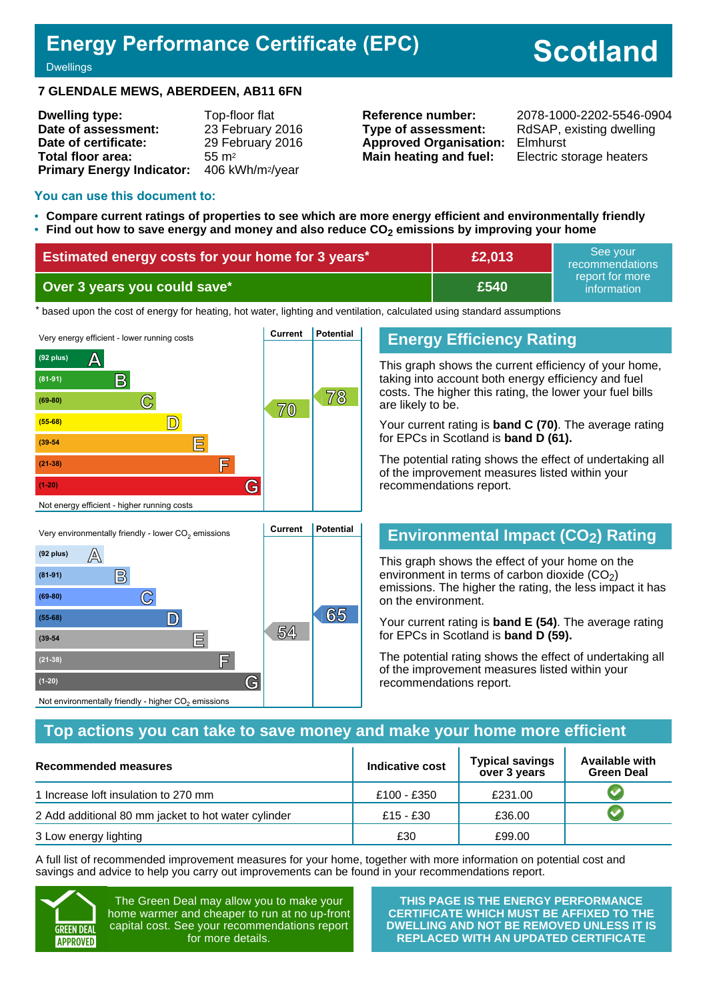# **Energy Performance Certificate (EPC)**

# **Scotland**

**Dwellings** 

### **7 GLENDALE MEWS, ABERDEEN, AB11 6FN**

| <b>Dwelling type:</b>            | Top-floor flat               |
|----------------------------------|------------------------------|
| Date of assessment:              | 23 February 2016             |
| Date of certificate:             | 29 February 2016             |
| Total floor area:                | $55 \text{ m}^2$             |
| <b>Primary Energy Indicator:</b> | 406 kWh/m <sup>2</sup> /year |

**Type of assessment:** RdSAP, existing dwelling **Approved Organisation:** Elmhurst **Main heating and fuel:** Electric storage heaters

**Reference number:** 2078-1000-2202-5546-0904

#### **You can use this document to:**

- **Compare current ratings of properties to see which are more energy efficient and environmentally friendly**
- **Find out how to save energy and money and also reduce CO2 emissions by improving your home**

| <b>Estimated energy costs for your home for 3 years*</b> | £2,013 | See vour<br>recommendations    |
|----------------------------------------------------------|--------|--------------------------------|
| Over 3 years you could save*                             | £540   | report for more<br>information |

the based upon the cost of energy for heating, hot water, lighting and ventilation, calculated using standard assumptions



**(55-68) D 65**

**<sup>54</sup> (39-54 E**

**(21-38) F**

Not environmentally friendly - higher  $\mathrm{CO}_2$  emissions

**(1-20) G**

### **Energy Efficiency Rating**

This graph shows the current efficiency of your home, taking into account both energy efficiency and fuel costs. The higher this rating, the lower your fuel bills are likely to be.

Your current rating is **band C (70)**. The average rating for EPCs in Scotland is **band D (61).**

The potential rating shows the effect of undertaking all of the improvement measures listed within your recommendations report.

# **Environmental Impact (CO2) Rating**

This graph shows the effect of your home on the environment in terms of carbon dioxide  $(CO<sub>2</sub>)$ emissions. The higher the rating, the less impact it has on the environment.

Your current rating is **band E (54)**. The average rating for EPCs in Scotland is **band D (59).**

The potential rating shows the effect of undertaking all of the improvement measures listed within your recommendations report.

### **Top actions you can take to save money and make your home more efficient**

| Recommended measures                                | Indicative cost | <b>Typical savings</b><br>over 3 years | <b>Available with</b><br><b>Green Deal</b> |
|-----------------------------------------------------|-----------------|----------------------------------------|--------------------------------------------|
| 1 Increase loft insulation to 270 mm                | £100 - £350     | £231.00                                |                                            |
| 2 Add additional 80 mm jacket to hot water cylinder | £15 - £30       | £36.00                                 |                                            |
| 3 Low energy lighting                               | £30             | £99.00                                 |                                            |

A full list of recommended improvement measures for your home, together with more information on potential cost and savings and advice to help you carry out improvements can be found in your recommendations report.



The Green Deal may allow you to make your home warmer and cheaper to run at no up-front capital cost. See your recommendations report for more details.

**THIS PAGE IS THE ENERGY PERFORMANCE CERTIFICATE WHICH MUST BE AFFIXED TO THE DWELLING AND NOT BE REMOVED UNLESS IT IS REPLACED WITH AN UPDATED CERTIFICATE**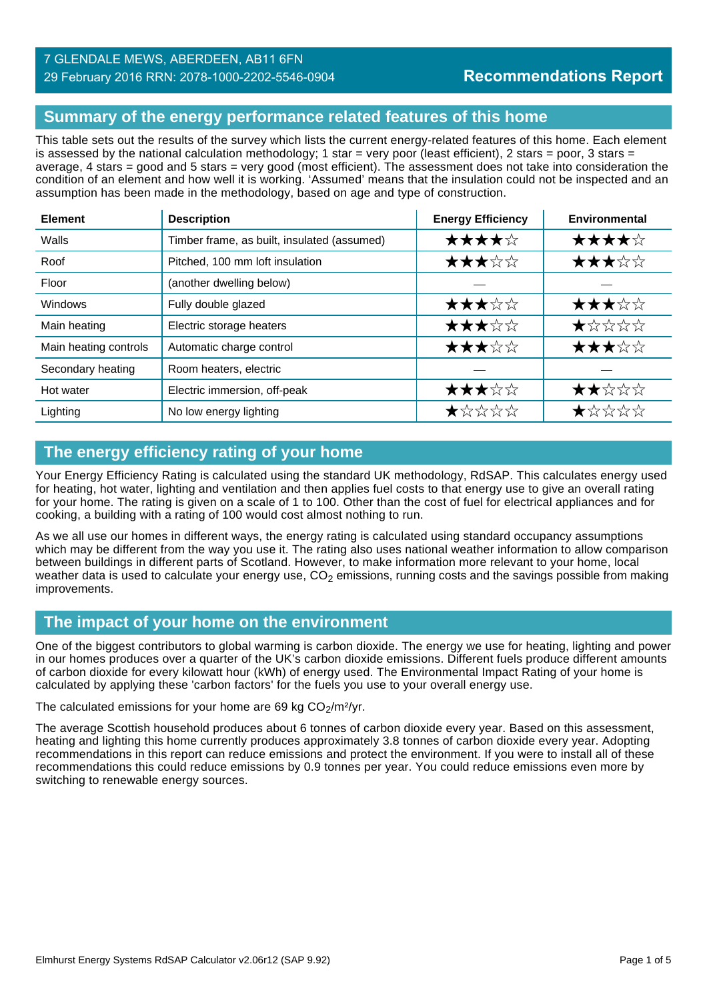## **Summary of the energy performance related features of this home**

This table sets out the results of the survey which lists the current energy-related features of this home. Each element is assessed by the national calculation methodology; 1 star = very poor (least efficient), 2 stars = poor, 3 stars = average, 4 stars = good and 5 stars = very good (most efficient). The assessment does not take into consideration the condition of an element and how well it is working. 'Assumed' means that the insulation could not be inspected and an assumption has been made in the methodology, based on age and type of construction.

| <b>Element</b>        | <b>Description</b>                          | <b>Energy Efficiency</b> | Environmental                                                        |
|-----------------------|---------------------------------------------|--------------------------|----------------------------------------------------------------------|
| Walls                 | Timber frame, as built, insulated (assumed) | ★★★★☆                    | ★★★★☆                                                                |
| Roof                  | Pitched, 100 mm loft insulation             | ★★★☆☆                    | ★★★☆☆                                                                |
| Floor                 | (another dwelling below)                    |                          |                                                                      |
| <b>Windows</b>        | Fully double glazed                         | ★★★☆☆                    | ★★★☆☆                                                                |
| Main heating          | Electric storage heaters                    | ★★★☆☆                    | $\bigstar\uparrow\downarrow\downarrow\downarrow\downarrow\downarrow$ |
| Main heating controls | Automatic charge control                    | ★★★☆☆                    | ★★★☆☆                                                                |
| Secondary heating     | Room heaters, electric                      |                          |                                                                      |
| Hot water             | Electric immersion, off-peak                | ★★★☆☆                    | ★★☆☆☆                                                                |
| Lighting              | No low energy lighting                      | ★☆☆☆☆                    | ★☆☆☆☆                                                                |

# **The energy efficiency rating of your home**

Your Energy Efficiency Rating is calculated using the standard UK methodology, RdSAP. This calculates energy used for heating, hot water, lighting and ventilation and then applies fuel costs to that energy use to give an overall rating for your home. The rating is given on a scale of 1 to 100. Other than the cost of fuel for electrical appliances and for cooking, a building with a rating of 100 would cost almost nothing to run.

As we all use our homes in different ways, the energy rating is calculated using standard occupancy assumptions which may be different from the way you use it. The rating also uses national weather information to allow comparison between buildings in different parts of Scotland. However, to make information more relevant to your home, local weather data is used to calculate your energy use,  $CO<sub>2</sub>$  emissions, running costs and the savings possible from making improvements.

# **The impact of your home on the environment**

One of the biggest contributors to global warming is carbon dioxide. The energy we use for heating, lighting and power in our homes produces over a quarter of the UK's carbon dioxide emissions. Different fuels produce different amounts of carbon dioxide for every kilowatt hour (kWh) of energy used. The Environmental Impact Rating of your home is calculated by applying these 'carbon factors' for the fuels you use to your overall energy use.

The calculated emissions for your home are 69 kg  $CO<sub>2</sub>/m<sup>2</sup>/yr$ .

The average Scottish household produces about 6 tonnes of carbon dioxide every year. Based on this assessment, heating and lighting this home currently produces approximately 3.8 tonnes of carbon dioxide every year. Adopting recommendations in this report can reduce emissions and protect the environment. If you were to install all of these recommendations this could reduce emissions by 0.9 tonnes per year. You could reduce emissions even more by switching to renewable energy sources.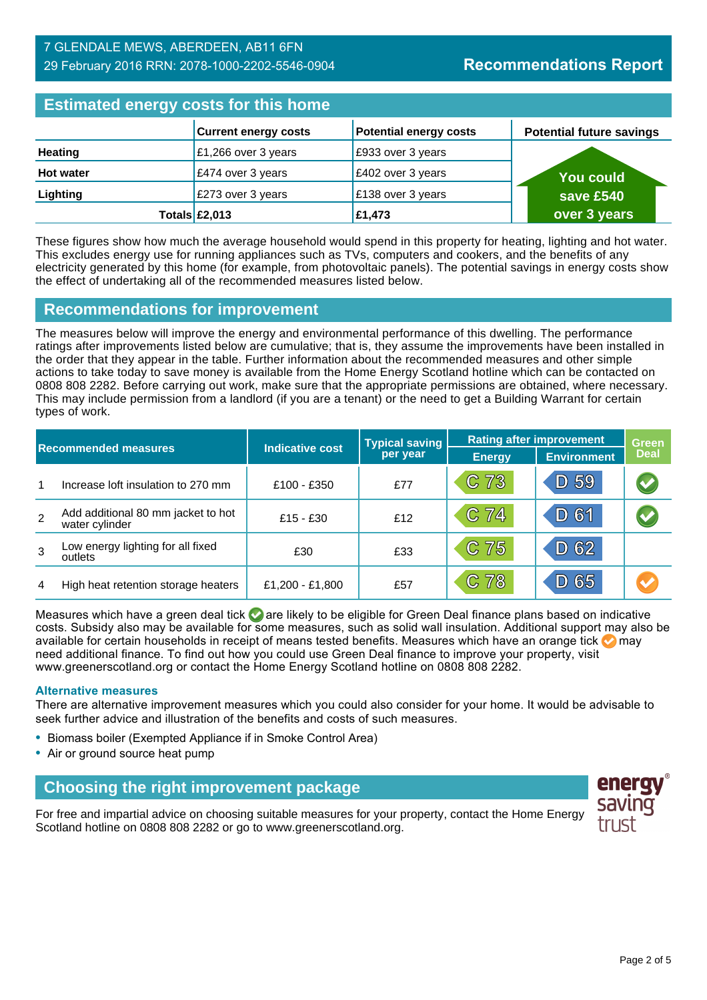### 7 GLENDALE MEWS, ABERDEEN, AB11 6FN 29 February 2016 RRN: 2078-1000-2202-5546-0904

# **Estimated energy costs for this home**

| <b>EDITION ONLY YOU AS TOT GIRD HOME</b> |                                |                               |                                 |  |  |
|------------------------------------------|--------------------------------|-------------------------------|---------------------------------|--|--|
|                                          | <b>Current energy costs</b>    | <b>Potential energy costs</b> | <b>Potential future savings</b> |  |  |
| <b>Heating</b>                           | $\mathsf{E}1,266$ over 3 years | E933 over 3 years             |                                 |  |  |
| <b>Hot water</b>                         | £474 over 3 years              | £402 over 3 years             | <b>You could</b>                |  |  |
| Lighting                                 | £273 over 3 years              | £138 over 3 years             | save £540                       |  |  |
|                                          | Totals $\mathsf{E}2,013$       | £1,473                        | over 3 years                    |  |  |

These figures show how much the average household would spend in this property for heating, lighting and hot water. This excludes energy use for running appliances such as TVs, computers and cookers, and the benefits of any electricity generated by this home (for example, from photovoltaic panels). The potential savings in energy costs show the effect of undertaking all of the recommended measures listed below.

### **Recommendations for improvement**

The measures below will improve the energy and environmental performance of this dwelling. The performance ratings after improvements listed below are cumulative; that is, they assume the improvements have been installed in the order that they appear in the table. Further information about the recommended measures and other simple actions to take today to save money is available from the Home Energy Scotland hotline which can be contacted on 0808 808 2282. Before carrying out work, make sure that the appropriate permissions are obtained, where necessary. This may include permission from a landlord (if you are a tenant) or the need to get a Building Warrant for certain types of work.

| <b>Recommended measures</b> |                                                      |                        | <b>Typical saving</b> | <b>Rating after improvement</b> |                    | <b>Green</b>         |
|-----------------------------|------------------------------------------------------|------------------------|-----------------------|---------------------------------|--------------------|----------------------|
|                             |                                                      | <b>Indicative cost</b> | per year              | <b>Energy</b>                   | <b>Environment</b> | <b>Deal</b>          |
| 1                           | Increase loft insulation to 270 mm                   | £100 - £350            | £77                   | C 73                            | D 59               | $\bigcirc$           |
| $\overline{2}$              | Add additional 80 mm jacket to hot<br>water cylinder | $£15 - £30$            | £12                   | C 74                            | D 61               | $\blacktriangledown$ |
| 3                           | Low energy lighting for all fixed<br>outlets         | £30                    | £33                   | C 75                            | D 62               |                      |
| 4                           | High heat retention storage heaters                  | £1,200 - £1,800        | £57                   | C 78                            | 65<br>D)           | <b>A</b>             |

Measures which have a green deal tick  $\blacktriangledown$  are likely to be eligible for Green Deal finance plans based on indicative costs. Subsidy also may be available for some measures, such as solid wall insulation. Additional support may also be available for certain households in receipt of means tested benefits. Measures which have an orange tick  $\bullet$  may need additional finance. To find out how you could use Green Deal finance to improve your property, visit www.greenerscotland.org or contact the Home Energy Scotland hotline on 0808 808 2282.

### **Alternative measures**

There are alternative improvement measures which you could also consider for your home. It would be advisable to seek further advice and illustration of the benefits and costs of such measures.

- Biomass boiler (Exempted Appliance if in Smoke Control Area)
- Air or ground source heat pump

# **Choosing the right improvement package**

For free and impartial advice on choosing suitable measures for your property, contact the Home Energy Scotland hotline on 0808 808 2282 or go to www.greenerscotland.org.

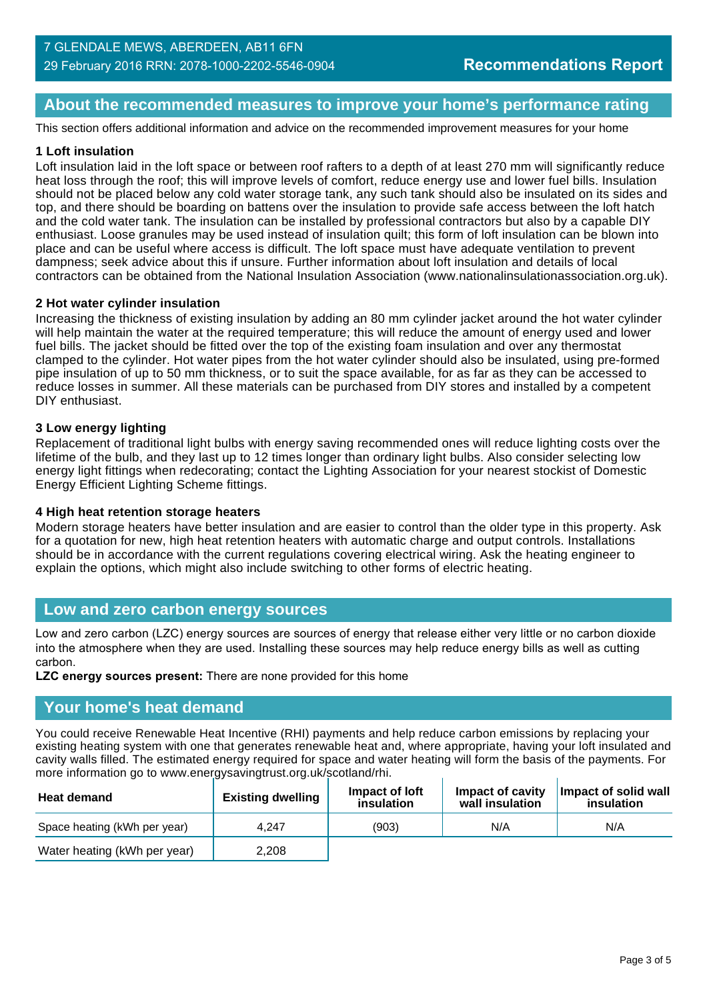## **About the recommended measures to improve your home's performance rating**

This section offers additional information and advice on the recommended improvement measures for your home

### **1 Loft insulation**

Loft insulation laid in the loft space or between roof rafters to a depth of at least 270 mm will significantly reduce heat loss through the roof; this will improve levels of comfort, reduce energy use and lower fuel bills. Insulation should not be placed below any cold water storage tank, any such tank should also be insulated on its sides and top, and there should be boarding on battens over the insulation to provide safe access between the loft hatch and the cold water tank. The insulation can be installed by professional contractors but also by a capable DIY enthusiast. Loose granules may be used instead of insulation quilt; this form of loft insulation can be blown into place and can be useful where access is difficult. The loft space must have adequate ventilation to prevent dampness; seek advice about this if unsure. Further information about loft insulation and details of local contractors can be obtained from the National Insulation Association (www.nationalinsulationassociation.org.uk).

### **2 Hot water cylinder insulation**

Increasing the thickness of existing insulation by adding an 80 mm cylinder jacket around the hot water cylinder will help maintain the water at the required temperature; this will reduce the amount of energy used and lower fuel bills. The jacket should be fitted over the top of the existing foam insulation and over any thermostat clamped to the cylinder. Hot water pipes from the hot water cylinder should also be insulated, using pre-formed pipe insulation of up to 50 mm thickness, or to suit the space available, for as far as they can be accessed to reduce losses in summer. All these materials can be purchased from DIY stores and installed by a competent DIY enthusiast.

### **3 Low energy lighting**

Replacement of traditional light bulbs with energy saving recommended ones will reduce lighting costs over the lifetime of the bulb, and they last up to 12 times longer than ordinary light bulbs. Also consider selecting low energy light fittings when redecorating; contact the Lighting Association for your nearest stockist of Domestic Energy Efficient Lighting Scheme fittings.

#### **4 High heat retention storage heaters**

Modern storage heaters have better insulation and are easier to control than the older type in this property. Ask for a quotation for new, high heat retention heaters with automatic charge and output controls. Installations should be in accordance with the current regulations covering electrical wiring. Ask the heating engineer to explain the options, which might also include switching to other forms of electric heating.

### **Low and zero carbon energy sources**

Low and zero carbon (LZC) energy sources are sources of energy that release either very little or no carbon dioxide into the atmosphere when they are used. Installing these sources may help reduce energy bills as well as cutting carbon.

**LZC energy sources present:** There are none provided for this home

### **Your home's heat demand**

You could receive Renewable Heat Incentive (RHI) payments and help reduce carbon emissions by replacing your existing heating system with one that generates renewable heat and, where appropriate, having your loft insulated and cavity walls filled. The estimated energy required for space and water heating will form the basis of the payments. For more information go to www.energysavingtrust.org.uk/scotland/rhi.

| <b>Heat demand</b>           | <b>Existing dwelling</b> | Impact of loft<br>insulation | Impact of cavity<br>wall insulation | Impact of solid wall<br>insulation |
|------------------------------|--------------------------|------------------------------|-------------------------------------|------------------------------------|
| Space heating (kWh per year) | 4.247                    | (903)                        | N/A                                 | N/A                                |
| Water heating (kWh per year) | 2.208                    |                              |                                     |                                    |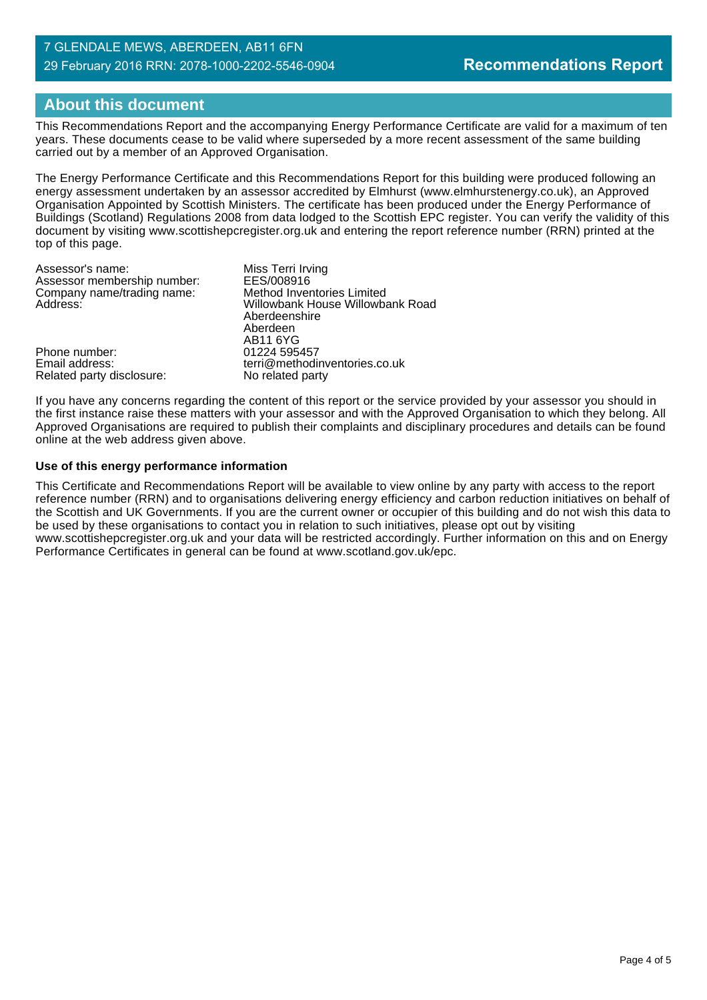### 7 GLENDALE MEWS, ABERDEEN, AB11 6FN 29 February 2016 RRN: 2078-1000-2202-5546-0904

# **About this document**

This Recommendations Report and the accompanying Energy Performance Certificate are valid for a maximum of ten years. These documents cease to be valid where superseded by a more recent assessment of the same building carried out by a member of an Approved Organisation.

The Energy Performance Certificate and this Recommendations Report for this building were produced following an energy assessment undertaken by an assessor accredited by Elmhurst (www.elmhurstenergy.co.uk), an Approved Organisation Appointed by Scottish Ministers. The certificate has been produced under the Energy Performance of Buildings (Scotland) Regulations 2008 from data lodged to the Scottish EPC register. You can verify the validity of this document by visiting www.scottishepcregister.org.uk and entering the report reference number (RRN) printed at the top of this page.

| Assessor's name:<br>Assessor membership number:<br>Company name/trading name:<br>Address: | Miss Terri Irving<br>EES/008916<br>Method Inventories Limited<br>Willowbank House Willowbank Road<br>Aberdeenshire<br>Aberdeen |
|-------------------------------------------------------------------------------------------|--------------------------------------------------------------------------------------------------------------------------------|
| Phone number:<br>Email address:<br>Related party disclosure:                              | AB11 6YG<br>01224 595457<br>terri@methodinventories.co.uk<br>No related party                                                  |

If you have any concerns regarding the content of this report or the service provided by your assessor you should in the first instance raise these matters with your assessor and with the Approved Organisation to which they belong. All Approved Organisations are required to publish their complaints and disciplinary procedures and details can be found online at the web address given above.

### **Use of this energy performance information**

This Certificate and Recommendations Report will be available to view online by any party with access to the report reference number (RRN) and to organisations delivering energy efficiency and carbon reduction initiatives on behalf of the Scottish and UK Governments. If you are the current owner or occupier of this building and do not wish this data to be used by these organisations to contact you in relation to such initiatives, please opt out by visiting www.scottishepcregister.org.uk and your data will be restricted accordingly. Further information on this and on Energy Performance Certificates in general can be found at www.scotland.gov.uk/epc.